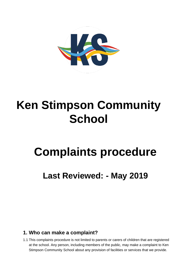

# **Ken Stimpson Community School**

# **Complaints procedure**

**Last Reviewed: - May 2019** 

## **1. Who can make a complaint?**

1.1 This complaints procedure is not limited to parents or carers of children that are registered at the school. Any person, including members of the public, may make a complaint to Ken Stimpson Community School about any provision of facilities or services that we provide.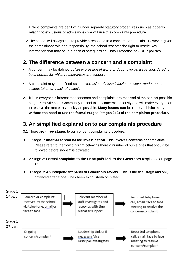Unless complaints are dealt with under separate statutory procedures (such as appeals relating to exclusions or admissions), we will use this complaints procedure.

1.2 The school will always aim to provide a response to a concern or complaint. However, given the complainant role and responsibility, the school reserves the right to restrict key information that may be in breach of safeguarding, Data Protection or GDPR policies.

#### **2. The difference between a concern and a complaint**

- A concern may be defined as '*an expression of worry or doubt over an issue considered to be important for which reassurances are sought'*.
- A complaint may be defined as '*an expression of dissatisfaction however made, about actions taken or a lack of action*'.
- 2.1 It is in everyone's interest that concerns and complaints are resolved at the earliest possible stage. Ken Stimpson Community School takes concerns seriously and will make every effort to resolve the matter as quickly as possible. **Many issues can be resolved informally, without the need to use the formal stages (stages 2+3) of the complaints procedure.**

#### **3. An simplified explanation to our complaints procedure**

- 3.1 There are **three stages** to our concern/complaints procedure:
- 3.1.1 Stage 1: **Internal school based investigation**. This involves concerns or complaints. Please refer to the flow diagram below as there a number of sub stages that should be followed before stage 2 is activated.
- 3.1.2 Stage 2: **Formal complaint to the Principal/Clerk to the Governors** (explained on page 3)
- 3.1.3 Stage 3: **An independent panel of Governors review**. This is the final stage and only activated after stage 2 has been exhausted/completed

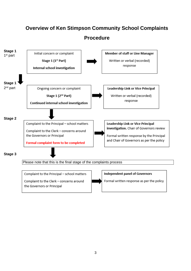# **Overview of Ken Stimpson Community School Complaints**

**Procedure**



the Governors or Principal

Formal written response as per the policy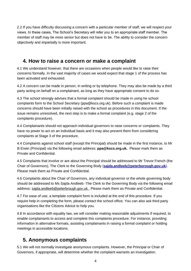2.2 If you have difficulty discussing a concern with a particular member of staff, we will respect your views. In these cases, The School's Secretary will refer you to an appropriate staff member. The member of staff may be more senior but does not have to be. The ability to consider the concern objectively and impartially is more important.

#### **4. How to raise a concern or make a complaint**

4.1 We understand however, that there are occasions when people would like to raise their concerns formally. In the vast majority of cases we would expect that stage 1 of the process has been activated and exhausted.

4.2 A concern can be made in person, in writing or by telephone. They may also be made by a third party acting on behalf on a complainant, as long as they have appropriate consent to do so.

4.3 The school strongly advises that a formal complaint should be made in using he school complaints form to the School Secretary (ppa@kscs.org.uk). Before such a complaint is made concerns should have been initially raised with the school as procedures in this document. If the issue remains unresolved, the next step is to make a formal complaint (e.g. stage 2 of the complaints procedure).

4.4 Complainants should not approach individual governors to raise concerns or complaints. They have no power to act on an individual basis and it may also prevent them from considering complaints at Stage 3 of the procedure.

4.4 Complaints against school staff (except the Principal) should be made in the first instance, to Mr B Erwin (Principal) via the following email address: **ppa@kscs.org.uk***.* Please mark them as Private and Confidential.

4.5 Complaints that involve or are about the Principal should be addressed to Mr Trevor French (the Chair of Governors), The Clerk to the Governing Body (**sajda.andleeb@peterborough.gov.uk**). Please mark them as Private and Confidential.

4.6 Complaints about the Chair of Governors, any individual governor or the whole governing body should be addressed to Ms Sajda Andleeb -The Clerk to the Governing Body via the following email address: sajda.andleeb@peterbrough.gov.uk. Please mark them as Private and Confidential.

4.7 For ease of use, a template complaint form is included at the end of this procedure. If you require help in completing the form, please contact the school office. You can also ask third party organisations like the Citizens Advice to help you.

4.8 In accordance with equality law, we will consider making reasonable adjustments if required, to enable complainants to access and complete this complaints procedure. For instance, providing information in alternative formats, assisting complainants in raising a formal complaint or holding meetings in accessible locations.

## **5. Anonymous complaints**

5.1 We will not normally investigate anonymous complaints. However, the Principal or Chair of Governors, if appropriate, will determine whether the complaint warrants an investigation.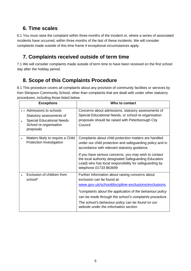# **6. Time scales**

6.1 You must raise the complaint within three months of the incident or, where a series of associated incidents have occurred, within three months of the last of these incidents. We will consider complaints made outside of this time frame if exceptional circumstances apply.

# **7. Complaints received outside of term time**

7.1 We will consider complaints made outside of term time to have been received on the first school day after the holiday period.

# **8. Scope of this Complaints Procedure**

8.1 This procedure covers all complaints about any provision of community facilities or services by Ken Stimpson Community School, other than complaints that are dealt with under other statutory procedures, including those listed below.

| <b>Exceptions</b>                                                                                                            | Who to contact                                                                                                                                                                                                                                                                                                                                                           |
|------------------------------------------------------------------------------------------------------------------------------|--------------------------------------------------------------------------------------------------------------------------------------------------------------------------------------------------------------------------------------------------------------------------------------------------------------------------------------------------------------------------|
| Admissions to schools<br>Statutory assessments of<br><b>Special Educational Needs</b><br>School re-organisation<br>proposals | Concerns about admissions, statutory assessments of<br>Special Educational Needs, or school re-organisation<br>proposals should be raised with Peterborough City<br>Council                                                                                                                                                                                              |
| Matters likely to require a Child<br>Protection Investigation                                                                | Complaints about child protection matters are handled<br>under our child protection and safeguarding policy and in<br>accordance with relevant statutory guidance.<br>If you have serious concerns, you may wish to contact<br>the local authority designated Safeguarding Education<br>Lead) who has local responsibility for safeguarding by<br>telephone 01733 863699 |
| Exclusion of children from<br>school*                                                                                        | Further information about raising concerns about<br>exclusion can be found at:<br>www.gov.uk/schooldiscipline-exclusions/exclusions.<br>*complaints about the application of the behaviour policy<br>can be made through the school's complaints procedure.<br>The school's behaviour policy can be found on our<br>website under the information section.               |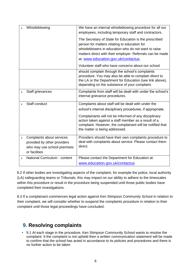| Whistleblowing                                                                                           | We have an internal whistleblowing procedure for all our<br>employees, including temporary staff and contractors.                                                                                                                                                  |
|----------------------------------------------------------------------------------------------------------|--------------------------------------------------------------------------------------------------------------------------------------------------------------------------------------------------------------------------------------------------------------------|
|                                                                                                          | The Secretary of State for Education is the prescribed<br>person for matters relating to education for<br>whistleblowers in education who do not want to raise<br>matters direct with their employer. Referrals can be made<br>at: www.education.gov.uk/contactus. |
|                                                                                                          | Volunteer staff who have concerns about our school                                                                                                                                                                                                                 |
|                                                                                                          | should complain through the school's complaints<br>procedure. You may also be able to complain direct to<br>the LA or the Department for Education (see link above),<br>depending on the substance of your complaint.                                              |
| Staff grievances                                                                                         | Complaints from staff will be dealt with under the school's<br>internal grievance procedures.                                                                                                                                                                      |
| Staff conduct                                                                                            | Complaints about staff will be dealt with under the                                                                                                                                                                                                                |
|                                                                                                          | school's internal disciplinary procedures, if appropriate.                                                                                                                                                                                                         |
|                                                                                                          | Complainants will not be informed of any disciplinary<br>action taken against a staff member as a result of a<br>complaint. However, the complainant will be notified that<br>the matter is being addressed.                                                       |
| Complaints about services<br>provided by other providers<br>who may use school premises<br>or facilities | Providers should have their own complaints procedure to<br>deal with complaints about service. Please contact them<br>direct.                                                                                                                                      |
| National Curriculum - content                                                                            | Please contact the Department for Education at:                                                                                                                                                                                                                    |
|                                                                                                          | www.education.gov.uk/contactus                                                                                                                                                                                                                                     |

8.2 If other bodies are investigating aspects of the complaint, for example the police, local authority (LA) safeguarding teams or Tribunals, this may impact on our ability to adhere to the timescales within this procedure or result in the procedure being suspended until those public bodies have completed their investigations.

8.3 If a complainant commences legal action against Ken Stimpson Community School in relation to their complaint, we will consider whether to suspend the complaints procedure in relation to their complaint until those legal proceedings have concluded.

## **9. Resolving complaints**

• 9.1 At each stage in the procedure, Ken Stimpson Community School wants to resolve the complaint. It the complaint is not upheld then a written communication statement will be made to confirm that the school has acted in accordance to its policies and procedures and there is no further action to be taken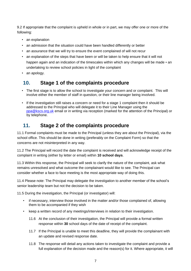9.2 If appropriate that the complaint is upheld in whole or in part, we may offer one or more of the following:

- an explanation
- an admission that the situation could have been handled differently or better
- an assurance that we will try to ensure the event complained of will not recur
- an explanation of the steps that have been or will be taken to help ensure that it will not happen again and an indication of the timescales within which any changes will be made • an undertaking to review school policies in light of the complaint
- an apology.

### **10. Stage 1 of the complaints procedure**

- The first stage is to allow the school to investigate your concern and or complaint. This will involve either the member of staff in question, or their line manager being involved.
- If the investigation still raises a concern or need for a stage 1 complaint then it should be addressed to the Principal who will delegate it to their Line Manager using the ppa@kscs.org.uk email or in writing via reception (marked for the attention of the Principal) or by telephone.

### **11. Stage 2 of the complaints procedure**

11.1 Formal complaints must be made to the Principal (unless they are about the Principal), via the school office. This should be done in writing (preferably on the Complaint Form) so that the concerns are not misinterpreted in any way.

11.2 The Principal will record the date the complaint is received and will acknowledge receipt of the complaint in writing (either by letter or email) within **10 school days**.

11.3 Within this response, the Principal will seek to clarify the nature of the complaint, ask what remains unresolved and what outcome the complainant would like to see. The Principal can consider whether a face to face meeting is the most appropriate way of doing this.

11.4 Please note: The Principal may delegate the investigation to another member of the school's senior leadership team but not the decision to be taken.

11.5 During the investigation, the Principal (or investigator) will:

- if necessary, interview those involved in the matter and/or those complained of, allowing them to be accompanied if they wish
- keep a written record of any meetings/interviews in relation to their investigation.
	- 11.6 At the conclusion of their investigation, the Principal will provide a formal written response within **30** school days of the date of receipt of the complaint.
	- 11.7 If the Principal is unable to meet this deadline, they will provide the complainant with an update and revised response date.
	- 11.8 The response will detail any actions taken to investigate the complaint and provide a full explanation of the decision made and the reason(s) for it. Where appropriate, it will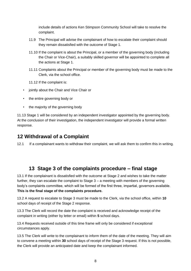include details of actions Ken Stimpson Community School will take to resolve the complaint.

- 11.9 The Principal will advise the complainant of how to escalate their complaint should they remain dissatisfied with the outcome of Stage 1.
- 11.10 If the complaint is about the Principal, or a member of the governing body (including the Chair or Vice-Chair), a suitably skilled governor will be appointed to complete all the actions at Stage 1.
- 11.11 Complaints about the Principal or member of the governing body must be made to the Clerk, via the school office.
- 11.12 If the complaint is:
- jointly about the Chair and Vice Chair or
- the entire governing body or
- the majority of the governing body

11.13 Stage 1 will be considered by an independent investigator appointed by the governing body. At the conclusion of their investigation, the independent investigator will provide a formal written response.

#### **12 Withdrawal of a Complaint**

12.1 If a complainant wants to withdraw their complaint, we will ask them to confirm this in writing.

#### **13 Stage 3 of the complaints procedure – final stage**

13.1 If the complainant is dissatisfied with the outcome at Stage 2 and wishes to take the matter further, they can escalate the complaint to Stage 3 – a meeting with members of the governing body's complaints committee, which will be formed of the first three, impartial, governors available. **This is the final stage of the complaints procedure.** 

13.2 A request to escalate to Stage 3 must be made to the Clerk, via the school office, within **10**  school days of receipt of the Stage 2 response.

13.3 The Clerk will record the date the complaint is received and acknowledge receipt of the complaint in writing (either by letter or email) within **5** school days.

13.4 Requests received outside of this time frame will only be considered if exceptional circumstances apply.

13.5 The Clerk will write to the complainant to inform them of the date of the meeting. They will aim to convene a meeting within **30** school days of receipt of the Stage 3 request. If this is not possible, the Clerk will provide an anticipated date and keep the complainant informed.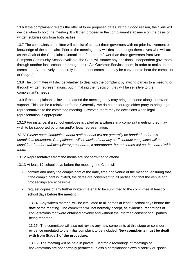13.6 If the complainant rejects the offer of three proposed dates, without good reason, the Clerk will decide when to hold the meeting. It will then proceed in the complainant's absence on the basis of written submissions from both parties.

13.7 The complaints committee will consist of at least three governors with no prior involvement or knowledge of the complaint. Prior to the meeting, they will decide amongst themselves who will act as the Chair of the Complaints Committee. If there are fewer than three governors from Ken Stimpson Community School available, the Clerk will source any additional, independent governors through another local school or through their LA's Governor Services team, in order to make up the committee. Alternatively, an entirely independent committee may be convened to hear the complaint at Stage 2.

13.8 The committee will decide whether to deal with the complaint by inviting parties to a meeting or through written representations, but in making their decision they will be sensitive to the complainant's needs.

13.9 If the complainant is invited to attend the meeting, they may bring someone along to provide support. This can be a relative or friend. Generally, we do not encourage either party to bring legal representatives to the committee meeting. However, there may be occasions when legal representation is appropriate.

13.10 For instance, if a school employee is called as a witness in a complaint meeting, they may wish to be supported by union and/or legal representation.

*13.12 Please note: Complaints about staff conduct will not generally be handled under this complaints procedure. Complainants will be advised that any staff conduct complaints will be considered under staff disciplinary procedures, if appropriate, but outcomes will not be shared with them.* 

13.12 Representatives from the media are not permitted to attend.

13.13 At least **10** school days before the meeting, the Clerk will:

- confirm and notify the complainant of the date, time and venue of the meeting, ensuring that, if the complainant is invited, the dates are convenient to all parties and that the venue and proceedings are accessible
- request copies of any further written material to be submitted to the committee at least **5** school days before the meeting.

13.14 Any written material will be circulated to all parties at least **5** school days before the date of the meeting. The committee will not normally accept, as evidence, recordings of conversations that were obtained covertly and without the informed consent of all parties being recorded.

13.15 The committee will also not review any new complaints at this stage or consider evidence unrelated to the initial complaint to be included. **New complaints must be dealt with from Stage 1 of the procedure.**

13.16 The meeting will be held in private. Electronic recordings of meetings or conversations are not normally permitted unless a complainant's own disability or special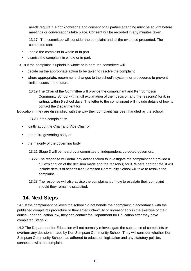needs require it. Prior knowledge and consent of all parties attending must be sought before meetings or conversations take place. Consent will be recorded in any minutes taken.

13.17 The committee will consider the complaint and all the evidence presented. The committee can:

- uphold the complaint in whole or in part
- dismiss the complaint in whole or in part.

13.18 If the complaint is upheld in whole or in part, the committee will:

- decide on the appropriate action to be taken to resolve the complaint
- where appropriate, recommend changes to the school's systems or procedures to prevent similar issues in the future.
	- 13.19 The Chair of the Committee will provide the complainant and Ken Stimpson Community School with a full explanation of their decision and the reason(s) for it, in writing, within **5** school days. The letter to the complainant will include details of how to contact the Department for

Education if they are dissatisfied with the way their complaint has been handled by the school.

13.20 If the complaint is:

- jointly about the Chair and Vice Chair or
- the entire governing body or
- the majority of the governing body

13.21 Stage 3 will be heard by a committee of independent, co-opted governors.

- 13.22 The response will detail any actions taken to investigate the complaint and provide a full explanation of the decision made and the reason(s) for it. Where appropriate, it will include details of actions Ken Stimpson Community School will take to resolve the complaint.
- 13.23 The response will also advise the complainant of how to escalate their complaint should they remain dissatisfied.

## **14. Next Steps**

14.1 If the complainant believes the school did not handle their complaint in accordance with the published complaints procedure or they acted unlawfully or unreasonably in the exercise of their duties under education law, they can contact the Department for Education after they have completed Stage 2.

14.2 The Department for Education will not normally reinvestigate the substance of complaints or overturn any decisions made by Ken Stimpson Community School. They will consider whether Ken Stimpson Community School has adhered to education legislation and any statutory policies connected with the complaint.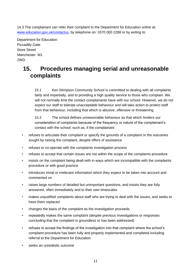14.3 The complainant can refer their complaint to the Department for Education online at: www.education.gov.uk/contactus, by telephone on: 0370 000 2288 or by writing to:

Department for Education Piccadilly Gate Store Street Manchester M1 2WD.

# **15. Procedures managing serial and unreasonable complaints**

15.1 Ken Stimpson Community School is committed to dealing with all complaints fairly and impartially, and to providing a high quality service to those who complain. We will not normally limit the contact complainants have with our school. However, we do not expect our staff to tolerate unacceptable behaviour and will take action to protect staff from that behaviour, including that which is abusive, offensive or threatening.

15.2 The school defines unreasonable behaviour as that which hinders our consideration of complaints because of the frequency or nature of the complainant's contact with the school, such as, if the complainant:

- refuses to articulate their complaint or specify the grounds of a complaint or the outcomes sought by raising the complaint, despite offers of assistance
- refuses to co-operate with the complaints investigation process
- refuses to accept that certain issues are not within the scope of the complaints procedure
- insists on the complaint being dealt with in ways which are incompatible with the complaints procedure or with good practice
- introduces trivial or irrelevant information which they expect to be taken into account and commented on
- raises large numbers of detailed but unimportant questions, and insists they are fully answered, often immediately and to their own timescales
- makes unjustified complaints about staff who are trying to deal with the issues, and seeks to have them replaced
- changes the basis of the complaint as the investigation proceeds
- repeatedly makes the same complaint (despite previous investigations or responses concluding that the complaint is groundless or has been addressed)
- refuses to accept the findings of the investigation into that complaint where the school's complaint procedure has been fully and properly implemented and completed including referral to the Department for Education
- seeks an unrealistic outcome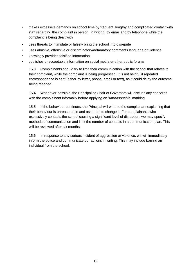- makes excessive demands on school time by frequent, lengthy and complicated contact with staff regarding the complaint in person, in writing, by email and by telephone while the complaint is being dealt with
- uses threats to intimidate or falsely bring the school into disrepute
- uses abusive, offensive or discriminatory/defamatory comments language or violence
- knowingly provides falsified information
- publishes unacceptable information on social media or other public forums.

15.3 Complainants should try to limit their communication with the school that relates to their complaint, while the complaint is being progressed. It is not helpful if repeated correspondence is sent (either by letter, phone, email or text), as it could delay the outcome being reached.

15.4 Whenever possible, the Principal or Chair of Governors will discuss any concerns with the complainant informally before applying an '*unreasonable'* marking.

15.5 If the behaviour continues, the Principal will write to the complainant explaining that their behaviour is unreasonable and ask them to change it. For complainants who excessively contacts the school causing a significant level of disruption, we may specify methods of communication and limit the number of contacts in a communication plan. This will be reviewed after six months.

15.6 In response to any serious incident of aggression or violence, we will immediately inform the police and communicate our actions in writing. This may include barring an individual from the school.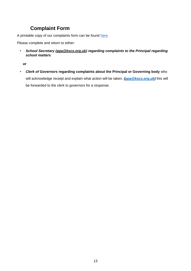# **Complaint Form**

A printable copy of our complaints form can be found [here.](https://www.kscs.org.uk/sites/default/files/files/complaint_form.docx)

Please complete and return to either:

• *School Secretary (ppa@kscs.org.uk) regarding complaints to the Principal regarding school matters* 

*or* 

• *Clerk of Governors* **regarding complaints about the Principal or Governing body** who will acknowledge receipt and explain what action will be taken. *[\(ppa@kscs.org.uk\)](mailto:ppa@kscs.org.uk)* this will be forwarded to the clerk to governors for a response.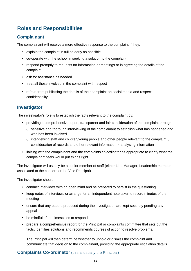# **Roles and Responsibilities**

#### **Complainant**

The complainant will receive a more effective response to the complaint if they:

- explain the complaint in full as early as possible
- co-operate with the school in seeking a solution to the complaint
- respond promptly to requests for information or meetings or in agreeing the details of the complaint
- ask for assistance as needed
- treat all those involved in the complaint with respect
- refrain from publicising the details of their complaint on social media and respect confidentiality.

#### **Investigator**

The investigator's role is to establish the facts relevant to the complaint by:

- providing a comprehensive, open, transparent and fair consideration of the complaint through:
	- $\circ$  sensitive and thorough interviewing of the complainant to establish what has happened and who has been involved
	- $\circ$  interviewing staff and children/young people and other people relevant to the complaint  $\circ$ consideration of records and other relevant information  $\circ$  analysing information
- liaising with the complainant and the complaints co-ordinator as appropriate to clarify what the complainant feels would put things right.

The investigator will usually be a senior member of staff (either Line Manager, Leadership member associated to the concern or the Vice Principal)

The investigator should:

- conduct interviews with an open mind and be prepared to persist in the questioning
- keep notes of interviews or arrange for an independent note taker to record minutes of the meeting
- ensure that any papers produced during the investigation are kept securely pending any appeal
- be mindful of the timescales to respond
- prepare a comprehensive report for the Principal or complaints committee that sets out the facts, identifies solutions and recommends courses of action to resolve problems.

The Principal will then determine whether to uphold or dismiss the complaint and communicate that decision to the complainant, providing the appropriate escalation details.

#### **Complaints Co-ordinator** (this is usually the Principal)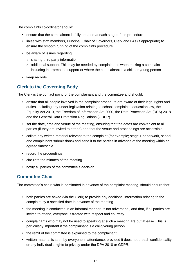The complaints co-ordinator should:

- ensure that the complainant is fully updated at each stage of the procedure
- liaise with staff members, Principal, Chair of Governors, Clerk and LAs (if appropriate) to ensure the smooth running of the complaints procedure
- be aware of issues regarding:
	- $\circ$  sharing third party information
	- $\circ$  additional support. This may be needed by complainants when making a complaint including interpretation support or where the complainant is a child or young person
- keep records.

#### **Clerk to the Governing Body**

The Clerk is the contact point for the complainant and the committee and should:

- ensure that all people involved in the complaint procedure are aware of their legal rights and duties, including any under legislation relating to school complaints, education law, the Equality Act 2010, the Freedom of Information Act 2000, the Data Protection Act (DPA) 2018 and the General Data Protection Regulations (GDPR)
- set the date, time and venue of the meeting, ensuring that the dates are convenient to all parties (if they are invited to attend) and that the venue and proceedings are accessible
- collate any written material relevant to the complaint (for example; stage 1 paperwork, school and complainant submissions) and send it to the parties in advance of the meeting within an agreed timescale
- record the proceedings
- circulate the minutes of the meeting
- notify all parties of the committee's decision.

#### **Committee Chair**

The committee's chair, who is nominated in advance of the complaint meeting, should ensure that:

- both parties are asked (via the Clerk) to provide any additional information relating to the complaint by a specified date in advance of the meeting
- the meeting is conducted in an informal manner, is not adversarial, and that, if all parties are invited to attend, everyone is treated with respect and courtesy
- complainants who may not be used to speaking at such a meeting are put at ease. This is particularly important if the complainant is a child/young person
- the remit of the committee is explained to the complainant
- written material is seen by everyone in attendance, provided it does not breach confidentiality or any individual's rights to privacy under the DPA 2018 or GDPR.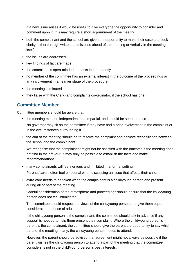If a new issue arises it would be useful to give everyone the opportunity to consider and comment upon it; this may require a short adjournment of the meeting

- both the complainant and the school are given the opportunity to make their case and seek clarity, either through written submissions ahead of the meeting or verbally in the meeting itself
- the issues are addressed
- key findings of fact are made
- the committee is open-minded and acts independently
- no member of the committee has an external interest in the outcome of the proceedings or any involvement in an earlier stage of the procedure
- the meeting is minuted
- they liaise with the Clerk (and complaints co-ordinator, if the school has one).

#### **Committee Member**

Committee members should be aware that:

- the meeting must be independent and impartial, and should be seen to be so No governor may sit on the committee if they have had a prior involvement in the complaint or in the circumstances surrounding it.
- the aim of the meeting should be to resolve the complaint and achieve reconciliation between the school and the complainant

We recognise that the complainant might not be satisfied with the outcome if the meeting does not find in their favour. It may only be possible to establish the facts and make recommendations.

- many complainants will feel nervous and inhibited in a formal setting Parents/carers often feel emotional when discussing an issue that affects their child.
- extra care needs to be taken when the complainant is a child/young person and present during all or part of the meeting

Careful consideration of the atmosphere and proceedings should ensure that the child/young person does not feel intimidated.

The committee should respect the views of the child/young person and give them equal consideration to those of adults.

If the child/young person is the complainant, the committee should ask in advance if any support is needed to help them present their complaint. Where the child/young person's parent is the complainant, the committee should give the parent the opportunity to say which parts of the meeting, if any, the child/young person needs to attend.

However, the parent should be advised that agreement might not always be possible if the parent wishes the child/young person to attend a part of the meeting that the committee considers is not in the child/young person's best interests.